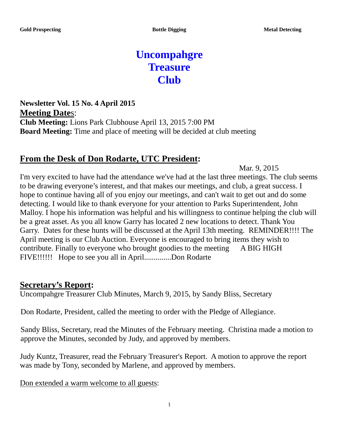# **Uncompahgre Treasure Club**

**Newsletter Vol. 15 No. 4 April 2015 Meeting Date**s: **Club Meeting:** Lions Park Clubhouse April 13, 2015 7:00 PM **Board Meeting:** Time and place of meeting will be decided at club meeting

#### **From the Desk of Don Rodarte, UTC President:**

Mar. 9, 2015

I'm very excited to have had the attendance we've had at the last three meetings. The club seems to be drawing everyone's interest, and that makes our meetings, and club, a great success. I hope to continue having all of you enjoy our meetings, and can't wait to get out and do some detecting. I would like to thank everyone for your attention to Parks Superintendent, John Malloy. I hope his information was helpful and his willingness to continue helping the club will be a great asset. As you all know Garry has located 2 new locations to detect. Thank You Garry. Dates for these hunts will be discussed at the April 13th meeting. REMINDER!!!! The April meeting is our Club Auction. Everyone is encouraged to bring items they wish to contribute. Finally to everyone who brought goodies to the meeting A BIG HIGH FIVE!!!!!! Hope to see you all in April..............Don Rodarte

#### **Secretary's Report:**

Uncompahgre Treasurer Club Minutes, March 9, 2015, by Sandy Bliss, Secretary

Don Rodarte, President, called the meeting to order with the Pledge of Allegiance.

Sandy Bliss, Secretary, read the Minutes of the February meeting. Christina made a motion to approve the Minutes, seconded by Judy, and approved by members.

Judy Kuntz, Treasurer, read the February Treasurer's Report. A motion to approve the report was made by Tony, seconded by Marlene, and approved by members.

Don extended a warm welcome to all guests: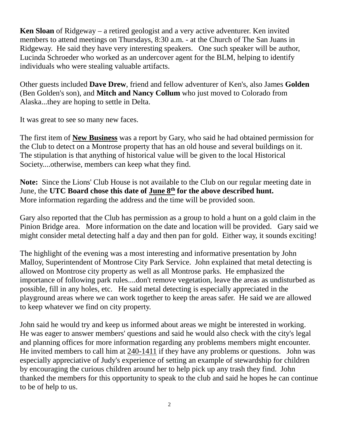**Ken Sloan** of Ridgeway – a retired geologist and a very active adventurer. Ken invited members to attend meetings on Thursdays, 8:30 a.m. - at the Church of The San Juans in Ridgeway. He said they have very interesting speakers. One such speaker will be author, Lucinda Schroeder who worked as an undercover agent for the BLM, helping to identify individuals who were stealing valuable artifacts.

Other guests included **Dave Drew**, friend and fellow adventurer of Ken's, also James **Golden** (Ben Golden's son), and **Mitch and Nancy Collum** who just moved to Colorado from Alaska...they are hoping to settle in Delta.

It was great to see so many new faces.

The first item of **New Business** was a report by Gary, who said he had obtained permission for the Club to detect on a Montrose property that has an old house and several buildings on it. The stipulation is that anything of historical value will be given to the local Historical Society....otherwise, members can keep what they find.

**Note:** Since the Lions' Club House is not available to the Club on our regular meeting date in June, the **UTC Board chose this date of June 8th for the above described hunt.**  More information regarding the address and the time will be provided soon.

Gary also reported that the Club has permission as a group to hold a hunt on a gold claim in the Pinion Bridge area. More information on the date and location will be provided. Gary said we might consider metal detecting half a day and then pan for gold. Either way, it sounds exciting!

The highlight of the evening was a most interesting and informative presentation by John Malloy, Superintendent of Montrose City Park Service. John explained that metal detecting is allowed on Montrose city property as well as all Montrose parks. He emphasized the importance of following park rules....don't remove vegetation, leave the areas as undisturbed as possible, fill in any holes, etc. He said metal detecting is especially appreciated in the playground areas where we can work together to keep the areas safer. He said we are allowed to keep whatever we find on city property.

John said he would try and keep us informed about areas we might be interested in working. He was eager to answer members' questions and said he would also check with the city's legal and planning offices for more information regarding any problems members might encounter. He invited members to call him at 240-1411 if they have any problems or questions. John was especially appreciative of Judy's experience of setting an example of stewardship for children by encouraging the curious children around her to help pick up any trash they find. John thanked the members for this opportunity to speak to the club and said he hopes he can continue to be of help to us.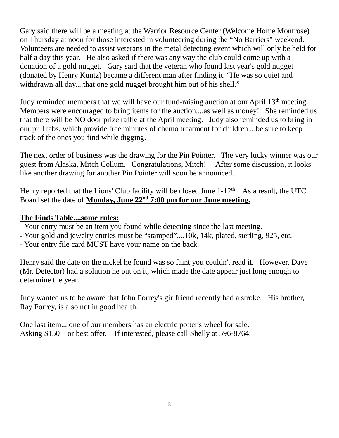Gary said there will be a meeting at the Warrior Resource Center (Welcome Home Montrose) on Thursday at noon for those interested in volunteering during the "No Barriers" weekend. Volunteers are needed to assist veterans in the metal detecting event which will only be held for half a day this year. He also asked if there was any way the club could come up with a donation of a gold nugget. Gary said that the veteran who found last year's gold nugget (donated by Henry Kuntz) became a different man after finding it. "He was so quiet and withdrawn all day....that one gold nugget brought him out of his shell."

Judy reminded members that we will have our fund-raising auction at our April 13<sup>th</sup> meeting. Members were encouraged to bring items for the auction....as well as money! She reminded us that there will be NO door prize raffle at the April meeting. Judy also reminded us to bring in our pull tabs, which provide free minutes of chemo treatment for children....be sure to keep track of the ones you find while digging.

The next order of business was the drawing for the Pin Pointer. The very lucky winner was our guest from Alaska, Mitch Collum. Congratulations, Mitch! After some discussion, it looks like another drawing for another Pin Pointer will soon be announced.

Henry reported that the Lions' Club facility will be closed June  $1-12<sup>th</sup>$ . As a result, the UTC Board set the date of **Monday, June 22nd 7:00 pm for our June meeting.**

#### **The Finds Table....some rules:**

- Your entry must be an item you found while detecting since the last meeting.
- Your gold and jewelry entries must be "stamped"....10k, 14k, plated, sterling, 925, etc.
- Your entry file card MUST have your name on the back.

Henry said the date on the nickel he found was so faint you couldn't read it. However, Dave (Mr. Detector) had a solution he put on it, which made the date appear just long enough to determine the year.

Judy wanted us to be aware that John Forrey's girlfriend recently had a stroke. His brother, Ray Forrey, is also not in good health.

One last item....one of our members has an electric potter's wheel for sale. Asking \$150 – or best offer. If interested, please call Shelly at 596-8764.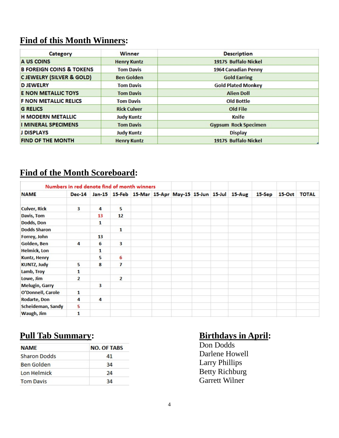## **Find of this Month Winners:**

| Category                            | <b>Winner</b>      | <b>Description</b>          |  |  |  |  |  |
|-------------------------------------|--------------------|-----------------------------|--|--|--|--|--|
| A US COINS                          | <b>Henry Kuntz</b> | 1917S Buffalo Nickel        |  |  |  |  |  |
| <b>B FOREIGN COINS &amp; TOKENS</b> | <b>Tom Davis</b>   | 1964 Canadian Penny         |  |  |  |  |  |
| <b>CJEWELRY (SILVER &amp; GOLD)</b> | <b>Ben Golden</b>  | <b>Gold Earring</b>         |  |  |  |  |  |
| <b>D JEWELRY</b>                    | <b>Tom Davis</b>   | <b>Gold Plated Monkey</b>   |  |  |  |  |  |
| <b>E NON METALLIC TOYS</b>          | <b>Tom Davis</b>   | <b>Alien Doll</b>           |  |  |  |  |  |
| <b>F NON METALLIC RELICS</b>        | <b>Tom Davis</b>   | <b>Old Bottle</b>           |  |  |  |  |  |
| <b>G RELICS</b>                     | <b>Rick Culver</b> | Old File                    |  |  |  |  |  |
| <b>H MODERN METALLIC</b>            | <b>Judy Kuntz</b>  | Knife                       |  |  |  |  |  |
| <b>I MINERAL SPECIMENS</b>          | <b>Tom Davis</b>   | <b>Gypsum Rock Specimen</b> |  |  |  |  |  |
| <b>J DISPLAYS</b>                   | <b>Judy Kuntz</b>  | <b>Display</b>              |  |  |  |  |  |
| <b>FIND OF THE MONTH</b>            | <b>Henry Kuntz</b> | 1917S Buffalo Nickel        |  |  |  |  |  |

### **Find of the Month Scoreboard:**

|                       | Numbers in red denote find of month winners |    |                |  |                                                  |  |        |        |          |              |
|-----------------------|---------------------------------------------|----|----------------|--|--------------------------------------------------|--|--------|--------|----------|--------------|
| <b>NAME</b>           | <b>Dec-14</b>                               |    |                |  | Jan-15 15-Feb 15-Mar 15-Apr May-15 15-Jun 15-Jul |  | 15-Aug | 15-Sep | $15-Oct$ | <b>TOTAL</b> |
| <b>Culver, Rick</b>   | $\overline{\mathbf{3}}$                     | 4  | 5              |  |                                                  |  |        |        |          |              |
| Davis, Tom            |                                             | 13 | 12             |  |                                                  |  |        |        |          |              |
| Dodds, Don            |                                             | 1  |                |  |                                                  |  |        |        |          |              |
| <b>Dodds Sharon</b>   |                                             |    | $\mathbf{1}$   |  |                                                  |  |        |        |          |              |
| Forrey, John          |                                             | 13 |                |  |                                                  |  |        |        |          |              |
| Golden, Ben           | 4                                           | 6  | 3              |  |                                                  |  |        |        |          |              |
| <b>Helmick, Lon</b>   |                                             | 1  |                |  |                                                  |  |        |        |          |              |
| Kuntz, Henry          |                                             | 5  | 6              |  |                                                  |  |        |        |          |              |
| <b>KUNTZ, Judy</b>    | 5                                           | 8  | 7              |  |                                                  |  |        |        |          |              |
| Lamb, Troy            | 1                                           |    |                |  |                                                  |  |        |        |          |              |
| Lowe, Jim             | $\overline{2}$                              |    | $\overline{2}$ |  |                                                  |  |        |        |          |              |
| <b>Melugin, Garry</b> |                                             | 3  |                |  |                                                  |  |        |        |          |              |
| O'Donnell, Carole     | $\mathbf{1}$                                |    |                |  |                                                  |  |        |        |          |              |
| Rodarte, Don          | 4                                           | 4  |                |  |                                                  |  |        |        |          |              |
| Scheideman, Sandy     | 5                                           |    |                |  |                                                  |  |        |        |          |              |
| Waugh, Jim            | 1                                           |    |                |  |                                                  |  |        |        |          |              |

## **Pull Tab Summary: Birthdays in April:**

| <b>NAME</b>         | <b>NO. OF TABS</b> |  |  |  |  |
|---------------------|--------------------|--|--|--|--|
| <b>Sharon Dodds</b> | 41                 |  |  |  |  |
| <b>Ben Golden</b>   | 34                 |  |  |  |  |
| Lon Helmick         | 24                 |  |  |  |  |
| <b>Tom Davis</b>    | 34                 |  |  |  |  |

Don Dodds Darlene Howell Larry Phillips Betty Richburg Garrett Wilner